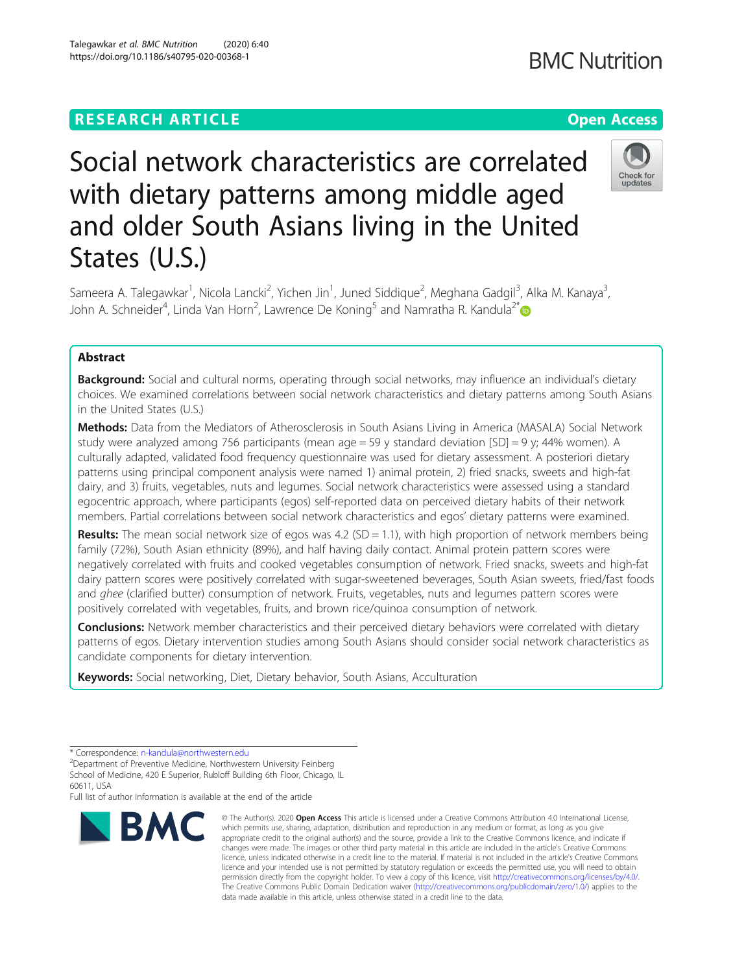# **RESEARCH ARTICLE Example 2014 12:30 The Open Access** Social network characteristics are correlated

with dietary patterns among middle aged and older South Asians living in the United States (U.S.)

Sameera A. Talegawkar<sup>1</sup>, Nicola Lancki<sup>2</sup>, Yichen Jin<sup>1</sup>, Juned Siddique<sup>2</sup>, Meghana Gadgil<sup>3</sup>, Alka M. Kanaya<sup>3</sup> , John A. Schneider<sup>4</sup>, Linda Van Horn<sup>2</sup>, Lawrence De Koning<sup>5</sup> and Namratha R. Kandula<sup>2\*</sup>

# Abstract

Background: Social and cultural norms, operating through social networks, may influence an individual's dietary choices. We examined correlations between social network characteristics and dietary patterns among South Asians in the United States (U.S.)

Methods: Data from the Mediators of Atherosclerosis in South Asians Living in America (MASALA) Social Network study were analyzed among 756 participants (mean age = 59 y standard deviation  $[SD] = 9$  y; 44% women). A culturally adapted, validated food frequency questionnaire was used for dietary assessment. A posteriori dietary patterns using principal component analysis were named 1) animal protein, 2) fried snacks, sweets and high-fat dairy, and 3) fruits, vegetables, nuts and legumes. Social network characteristics were assessed using a standard egocentric approach, where participants (egos) self-reported data on perceived dietary habits of their network members. Partial correlations between social network characteristics and egos' dietary patterns were examined.

**Results:** The mean social network size of egos was  $4.2$  (SD = 1.1), with high proportion of network members being family (72%), South Asian ethnicity (89%), and half having daily contact. Animal protein pattern scores were negatively correlated with fruits and cooked vegetables consumption of network. Fried snacks, sweets and high-fat dairy pattern scores were positively correlated with sugar-sweetened beverages, South Asian sweets, fried/fast foods and ghee (clarified butter) consumption of network. Fruits, vegetables, nuts and legumes pattern scores were positively correlated with vegetables, fruits, and brown rice/quinoa consumption of network.

**Conclusions:** Network member characteristics and their perceived dietary behaviors were correlated with dietary patterns of egos. Dietary intervention studies among South Asians should consider social network characteristics as candidate components for dietary intervention.

Keywords: Social networking, Diet, Dietary behavior, South Asians, Acculturation

**BMC** 

Full list of author information is available at the end of the article





<sup>\*</sup> Correspondence: [n-kandula@northwestern.edu](mailto:n-kandula@northwestern.edu)<br><sup>2</sup>Department of Preventive Medicine, Northwestern University Feinberg School of Medicine, 420 E Superior, Rubloff Building 6th Floor, Chicago, IL 60611, USA

<sup>©</sup> The Author(s), 2020 **Open Access** This article is licensed under a Creative Commons Attribution 4.0 International License, which permits use, sharing, adaptation, distribution and reproduction in any medium or format, as long as you give appropriate credit to the original author(s) and the source, provide a link to the Creative Commons licence, and indicate if changes were made. The images or other third party material in this article are included in the article's Creative Commons licence, unless indicated otherwise in a credit line to the material. If material is not included in the article's Creative Commons licence and your intended use is not permitted by statutory regulation or exceeds the permitted use, you will need to obtain permission directly from the copyright holder. To view a copy of this licence, visit [http://creativecommons.org/licenses/by/4.0/.](http://creativecommons.org/licenses/by/4.0/) The Creative Commons Public Domain Dedication waiver [\(http://creativecommons.org/publicdomain/zero/1.0/](http://creativecommons.org/publicdomain/zero/1.0/)) applies to the data made available in this article, unless otherwise stated in a credit line to the data.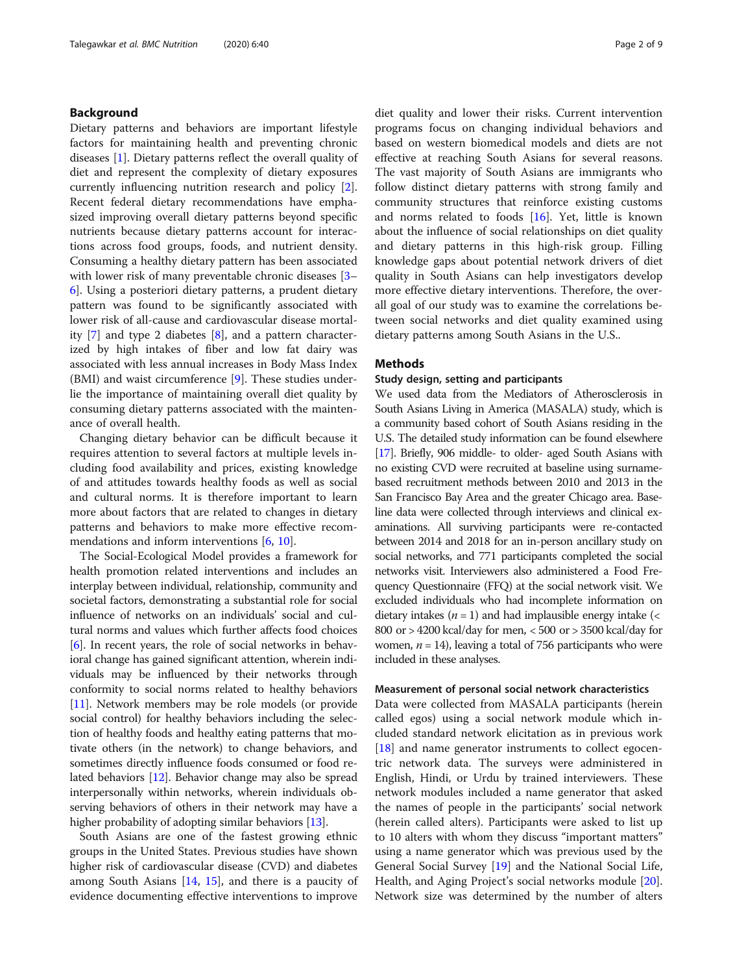# Background

Dietary patterns and behaviors are important lifestyle factors for maintaining health and preventing chronic diseases [\[1](#page-7-0)]. Dietary patterns reflect the overall quality of diet and represent the complexity of dietary exposures currently influencing nutrition research and policy [\[2](#page-7-0)]. Recent federal dietary recommendations have emphasized improving overall dietary patterns beyond specific nutrients because dietary patterns account for interactions across food groups, foods, and nutrient density. Consuming a healthy dietary pattern has been associated with lower risk of many preventable chronic diseases [[3](#page-7-0)– [6\]](#page-7-0). Using a posteriori dietary patterns, a prudent dietary pattern was found to be significantly associated with lower risk of all-cause and cardiovascular disease mortality [[7\]](#page-7-0) and type 2 diabetes [[8](#page-7-0)], and a pattern characterized by high intakes of fiber and low fat dairy was associated with less annual increases in Body Mass Index (BMI) and waist circumference [[9\]](#page-8-0). These studies underlie the importance of maintaining overall diet quality by consuming dietary patterns associated with the maintenance of overall health.

Changing dietary behavior can be difficult because it requires attention to several factors at multiple levels including food availability and prices, existing knowledge of and attitudes towards healthy foods as well as social and cultural norms. It is therefore important to learn more about factors that are related to changes in dietary patterns and behaviors to make more effective recommendations and inform interventions [[6,](#page-7-0) [10\]](#page-8-0).

The Social-Ecological Model provides a framework for health promotion related interventions and includes an interplay between individual, relationship, community and societal factors, demonstrating a substantial role for social influence of networks on an individuals' social and cultural norms and values which further affects food choices [[6\]](#page-7-0). In recent years, the role of social networks in behavioral change has gained significant attention, wherein individuals may be influenced by their networks through conformity to social norms related to healthy behaviors [[11](#page-8-0)]. Network members may be role models (or provide social control) for healthy behaviors including the selection of healthy foods and healthy eating patterns that motivate others (in the network) to change behaviors, and sometimes directly influence foods consumed or food related behaviors [\[12\]](#page-8-0). Behavior change may also be spread interpersonally within networks, wherein individuals observing behaviors of others in their network may have a higher probability of adopting similar behaviors [\[13\]](#page-8-0).

South Asians are one of the fastest growing ethnic groups in the United States. Previous studies have shown higher risk of cardiovascular disease (CVD) and diabetes among South Asians [[14,](#page-8-0) [15\]](#page-8-0), and there is a paucity of evidence documenting effective interventions to improve diet quality and lower their risks. Current intervention programs focus on changing individual behaviors and based on western biomedical models and diets are not effective at reaching South Asians for several reasons. The vast majority of South Asians are immigrants who follow distinct dietary patterns with strong family and community structures that reinforce existing customs and norms related to foods [[16\]](#page-8-0). Yet, little is known about the influence of social relationships on diet quality and dietary patterns in this high-risk group. Filling knowledge gaps about potential network drivers of diet quality in South Asians can help investigators develop more effective dietary interventions. Therefore, the overall goal of our study was to examine the correlations between social networks and diet quality examined using dietary patterns among South Asians in the U.S..

# **Methods**

#### Study design, setting and participants

We used data from the Mediators of Atherosclerosis in South Asians Living in America (MASALA) study, which is a community based cohort of South Asians residing in the U.S. The detailed study information can be found elsewhere [[17](#page-8-0)]. Briefly, 906 middle- to older- aged South Asians with no existing CVD were recruited at baseline using surnamebased recruitment methods between 2010 and 2013 in the San Francisco Bay Area and the greater Chicago area. Baseline data were collected through interviews and clinical examinations. All surviving participants were re-contacted between 2014 and 2018 for an in-person ancillary study on social networks, and 771 participants completed the social networks visit. Interviewers also administered a Food Frequency Questionnaire (FFQ) at the social network visit. We excluded individuals who had incomplete information on dietary intakes ( $n = 1$ ) and had implausible energy intake ( $\lt$ 800 or > 4200 kcal/day for men, < 500 or > 3500 kcal/day for women,  $n = 14$ ), leaving a total of 756 participants who were included in these analyses.

## Measurement of personal social network characteristics

Data were collected from MASALA participants (herein called egos) using a social network module which included standard network elicitation as in previous work [[18\]](#page-8-0) and name generator instruments to collect egocentric network data. The surveys were administered in English, Hindi, or Urdu by trained interviewers. These network modules included a name generator that asked the names of people in the participants' social network (herein called alters). Participants were asked to list up to 10 alters with whom they discuss "important matters" using a name generator which was previous used by the General Social Survey [\[19](#page-8-0)] and the National Social Life, Health, and Aging Project's social networks module [\[20](#page-8-0)]. Network size was determined by the number of alters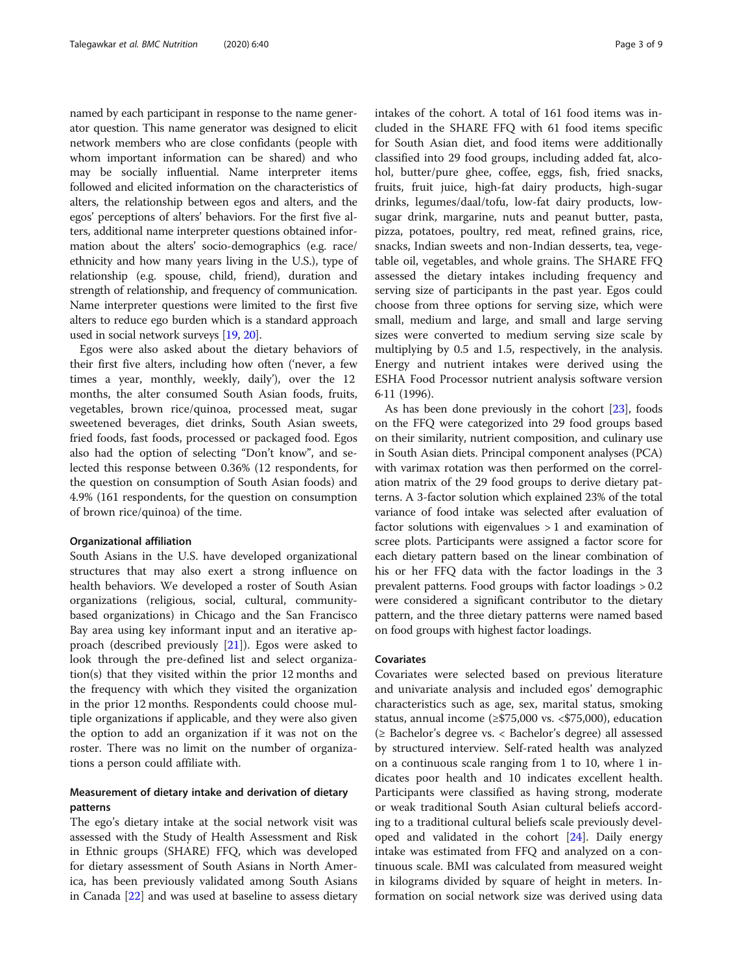named by each participant in response to the name generator question. This name generator was designed to elicit network members who are close confidants (people with whom important information can be shared) and who may be socially influential. Name interpreter items followed and elicited information on the characteristics of alters, the relationship between egos and alters, and the egos' perceptions of alters' behaviors. For the first five alters, additional name interpreter questions obtained information about the alters' socio-demographics (e.g. race/ ethnicity and how many years living in the U.S.), type of relationship (e.g. spouse, child, friend), duration and strength of relationship, and frequency of communication. Name interpreter questions were limited to the first five alters to reduce ego burden which is a standard approach used in social network surveys [[19](#page-8-0), [20\]](#page-8-0).

Egos were also asked about the dietary behaviors of their first five alters, including how often ('never, a few times a year, monthly, weekly, daily'), over the 12 months, the alter consumed South Asian foods, fruits, vegetables, brown rice/quinoa, processed meat, sugar sweetened beverages, diet drinks, South Asian sweets, fried foods, fast foods, processed or packaged food. Egos also had the option of selecting "Don't know", and selected this response between 0.36% (12 respondents, for the question on consumption of South Asian foods) and 4.9% (161 respondents, for the question on consumption of brown rice/quinoa) of the time.

#### Organizational affiliation

South Asians in the U.S. have developed organizational structures that may also exert a strong influence on health behaviors. We developed a roster of South Asian organizations (religious, social, cultural, communitybased organizations) in Chicago and the San Francisco Bay area using key informant input and an iterative approach (described previously [[21\]](#page-8-0)). Egos were asked to look through the pre-defined list and select organization(s) that they visited within the prior 12 months and the frequency with which they visited the organization in the prior 12 months. Respondents could choose multiple organizations if applicable, and they were also given the option to add an organization if it was not on the roster. There was no limit on the number of organizations a person could affiliate with.

# Measurement of dietary intake and derivation of dietary patterns

The ego's dietary intake at the social network visit was assessed with the Study of Health Assessment and Risk in Ethnic groups (SHARE) FFQ, which was developed for dietary assessment of South Asians in North America, has been previously validated among South Asians in Canada [\[22](#page-8-0)] and was used at baseline to assess dietary intakes of the cohort. A total of 161 food items was included in the SHARE FFQ with 61 food items specific for South Asian diet, and food items were additionally classified into 29 food groups, including added fat, alcohol, butter/pure ghee, coffee, eggs, fish, fried snacks, fruits, fruit juice, high-fat dairy products, high-sugar drinks, legumes/daal/tofu, low-fat dairy products, lowsugar drink, margarine, nuts and peanut butter, pasta, pizza, potatoes, poultry, red meat, refined grains, rice, snacks, Indian sweets and non-Indian desserts, tea, vegetable oil, vegetables, and whole grains. The SHARE FFQ assessed the dietary intakes including frequency and serving size of participants in the past year. Egos could choose from three options for serving size, which were small, medium and large, and small and large serving sizes were converted to medium serving size scale by multiplying by 0.5 and 1.5, respectively, in the analysis. Energy and nutrient intakes were derived using the ESHA Food Processor nutrient analysis software version 6·11 (1996).

As has been done previously in the cohort [\[23\]](#page-8-0), foods on the FFQ were categorized into 29 food groups based on their similarity, nutrient composition, and culinary use in South Asian diets. Principal component analyses (PCA) with varimax rotation was then performed on the correlation matrix of the 29 food groups to derive dietary patterns. A 3-factor solution which explained 23% of the total variance of food intake was selected after evaluation of factor solutions with eigenvalues  $> 1$  and examination of scree plots. Participants were assigned a factor score for each dietary pattern based on the linear combination of his or her FFQ data with the factor loadings in the 3 prevalent patterns. Food groups with factor loadings > 0.2 were considered a significant contributor to the dietary pattern, and the three dietary patterns were named based on food groups with highest factor loadings.

# Covariates

Covariates were selected based on previous literature and univariate analysis and included egos' demographic characteristics such as age, sex, marital status, smoking status, annual income (≥\$75,000 vs. <\$75,000), education (≥ Bachelor's degree vs. < Bachelor's degree) all assessed by structured interview. Self-rated health was analyzed on a continuous scale ranging from 1 to 10, where 1 indicates poor health and 10 indicates excellent health. Participants were classified as having strong, moderate or weak traditional South Asian cultural beliefs according to a traditional cultural beliefs scale previously developed and validated in the cohort [\[24](#page-8-0)]. Daily energy intake was estimated from FFQ and analyzed on a continuous scale. BMI was calculated from measured weight in kilograms divided by square of height in meters. Information on social network size was derived using data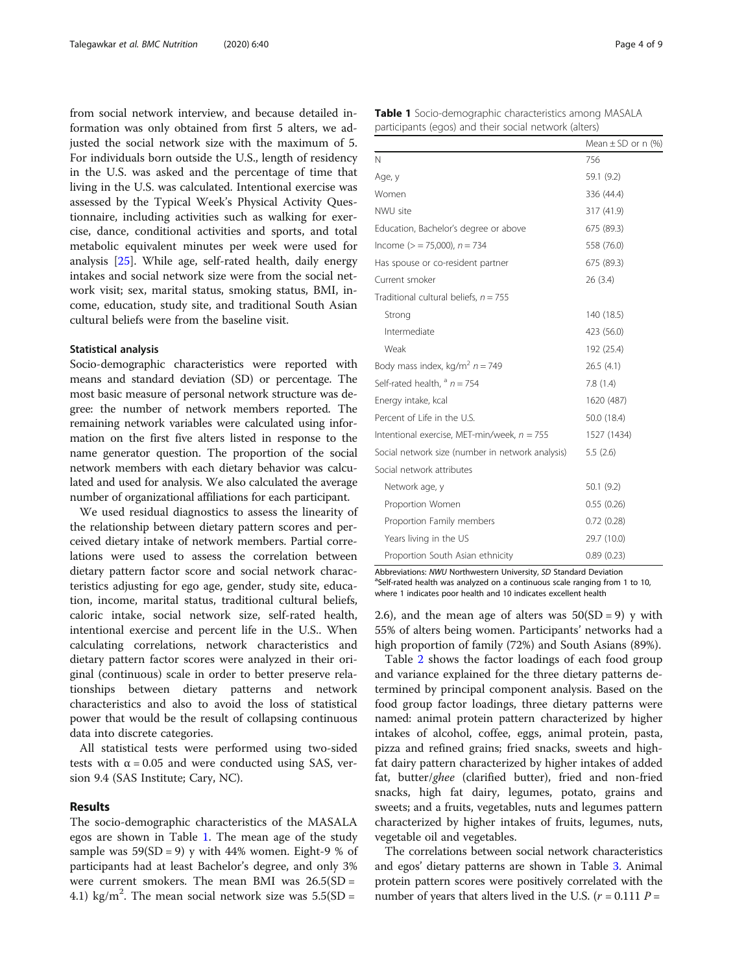from social network interview, and because detailed information was only obtained from first 5 alters, we adjusted the social network size with the maximum of 5. For individuals born outside the U.S., length of residency in the U.S. was asked and the percentage of time that living in the U.S. was calculated. Intentional exercise was assessed by the Typical Week's Physical Activity Questionnaire, including activities such as walking for exercise, dance, conditional activities and sports, and total metabolic equivalent minutes per week were used for analysis [[25\]](#page-8-0). While age, self-rated health, daily energy intakes and social network size were from the social network visit; sex, marital status, smoking status, BMI, income, education, study site, and traditional South Asian cultural beliefs were from the baseline visit.

### Statistical analysis

Socio-demographic characteristics were reported with means and standard deviation (SD) or percentage. The most basic measure of personal network structure was degree: the number of network members reported. The remaining network variables were calculated using information on the first five alters listed in response to the name generator question. The proportion of the social network members with each dietary behavior was calculated and used for analysis. We also calculated the average number of organizational affiliations for each participant.

We used residual diagnostics to assess the linearity of the relationship between dietary pattern scores and perceived dietary intake of network members. Partial correlations were used to assess the correlation between dietary pattern factor score and social network characteristics adjusting for ego age, gender, study site, education, income, marital status, traditional cultural beliefs, caloric intake, social network size, self-rated health, intentional exercise and percent life in the U.S.. When calculating correlations, network characteristics and dietary pattern factor scores were analyzed in their original (continuous) scale in order to better preserve relationships between dietary patterns and network characteristics and also to avoid the loss of statistical power that would be the result of collapsing continuous data into discrete categories.

All statistical tests were performed using two-sided tests with  $\alpha$  = 0.05 and were conducted using SAS, version 9.4 (SAS Institute; Cary, NC).

# Results

The socio-demographic characteristics of the MASALA egos are shown in Table 1. The mean age of the study sample was  $59(SD = 9)$  y with 44% women. Eight-9 % of participants had at least Bachelor's degree, and only 3% were current smokers. The mean BMI was  $26.5(SD =$ 4.1) kg/m<sup>2</sup>. The mean social network size was  $5.5(SD =$ 

| <b>Table 1</b> Socio-demographic characteristics among MASALA |  |
|---------------------------------------------------------------|--|
| participants (egos) and their social network (alters)         |  |

| $\ddot{\phantom{0}}$                             |                        |
|--------------------------------------------------|------------------------|
|                                                  | Mean $\pm$ SD or n (%) |
| N                                                | 756                    |
| Age, y                                           | 59.1 (9.2)             |
| Women                                            | 336 (44.4)             |
| NWU site                                         | 317 (41.9)             |
| Education, Bachelor's degree or above            | 675 (89.3)             |
| Income ( $>$ = 75,000), $n = 734$                | 558 (76.0)             |
| Has spouse or co-resident partner                | 675 (89.3)             |
| Current smoker                                   | 26(3.4)                |
| Traditional cultural beliefs, $n = 755$          |                        |
| Strong                                           | 140 (18.5)             |
| Intermediate                                     | 423 (56.0)             |
| Weak                                             | 192 (25.4)             |
| Body mass index, kg/m <sup>2</sup> $n = 749$     | 26.5(4.1)              |
| Self-rated health, $a_n = 754$                   | 7.8(1.4)               |
| Energy intake, kcal                              | 1620 (487)             |
| Percent of Life in the U.S.                      | 50.0 (18.4)            |
| Intentional exercise, MET-min/week, $n = 755$    | 1527 (1434)            |
| Social network size (number in network analysis) | 5.5(2.6)               |
| Social network attributes                        |                        |
| Network age, y                                   | 50.1(9.2)              |
| Proportion Women                                 | 0.55(0.26)             |
| Proportion Family members                        | 0.72(0.28)             |
| Years living in the US                           | 29.7 (10.0)            |
| Proportion South Asian ethnicity                 | 0.89(0.23)             |

Abbreviations: NWU Northwestern University, SD Standard Deviation <sup>a</sup>Self-rated health was analyzed on a continuous scale ranging from 1 to 10, where 1 indicates poor health and 10 indicates excellent health

2.6), and the mean age of alters was  $50(SD = 9)$  y with 55% of alters being women. Participants' networks had a high proportion of family (72%) and South Asians (89%).

Table [2](#page-4-0) shows the factor loadings of each food group and variance explained for the three dietary patterns determined by principal component analysis. Based on the food group factor loadings, three dietary patterns were named: animal protein pattern characterized by higher intakes of alcohol, coffee, eggs, animal protein, pasta, pizza and refined grains; fried snacks, sweets and highfat dairy pattern characterized by higher intakes of added fat, butter/ghee (clarified butter), fried and non-fried snacks, high fat dairy, legumes, potato, grains and sweets; and a fruits, vegetables, nuts and legumes pattern characterized by higher intakes of fruits, legumes, nuts, vegetable oil and vegetables.

The correlations between social network characteristics and egos' dietary patterns are shown in Table [3](#page-5-0). Animal protein pattern scores were positively correlated with the number of years that alters lived in the U.S. ( $r = 0.111$   $P =$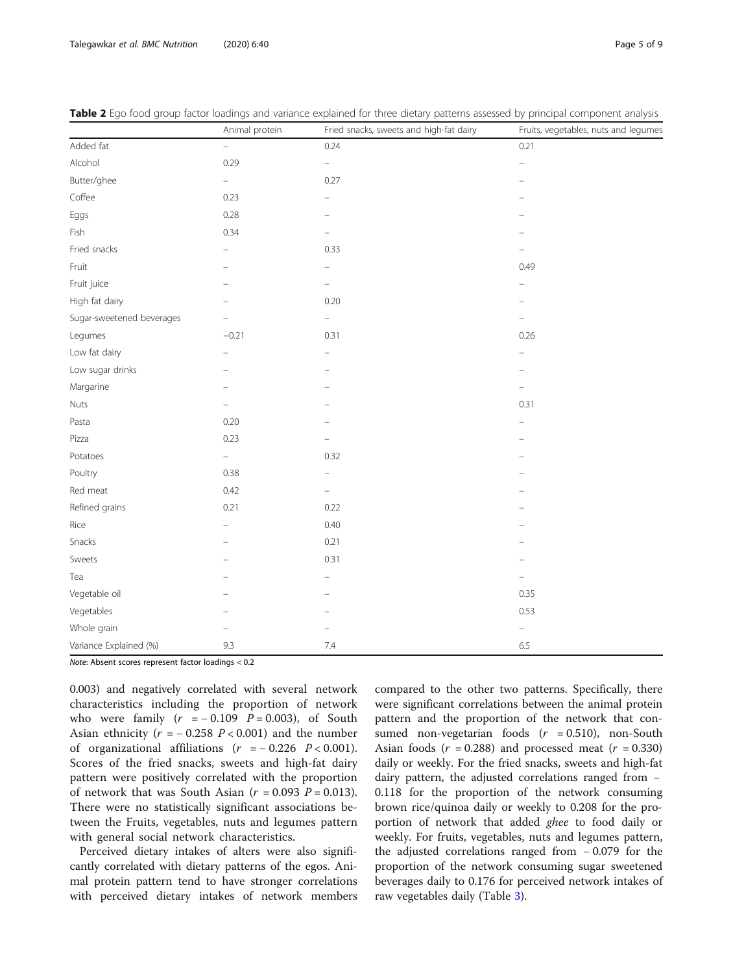|                           | Animal protein           | Fried snacks, sweets and high-fat dairy | Fruits, vegetables, nuts and legumes |
|---------------------------|--------------------------|-----------------------------------------|--------------------------------------|
| Added fat                 | ÷                        | 0.24                                    | 0.21                                 |
| Alcohol                   | 0.29                     | ÷                                       |                                      |
| Butter/ghee               | $\equiv$                 | 0.27                                    | $\overline{\phantom{0}}$             |
| Coffee                    | 0.23                     | $\sim$                                  |                                      |
| Eggs                      | 0.28                     |                                         |                                      |
| Fish                      | 0.34                     | $\overline{\phantom{0}}$                |                                      |
| Fried snacks              |                          | 0.33                                    |                                      |
| Fruit                     |                          | $\overline{\phantom{0}}$                | 0.49                                 |
| Fruit juice               |                          | $\qquad \qquad -$                       |                                      |
| High fat dairy            |                          | 0.20                                    |                                      |
| Sugar-sweetened beverages |                          | $\equiv$                                |                                      |
| Legumes                   | $-0.21$                  | 0.31                                    | 0.26                                 |
| Low fat dairy             | $\overline{\phantom{0}}$ | $\overline{\phantom{0}}$                |                                      |
| Low sugar drinks          |                          |                                         |                                      |
| Margarine                 |                          |                                         |                                      |
| Nuts                      |                          |                                         | 0.31                                 |
| Pasta                     | 0.20                     |                                         |                                      |
| Pizza                     | 0.23                     | $\overline{\phantom{0}}$                |                                      |
| Potatoes                  | $\equiv$                 | 0.32                                    |                                      |
| Poultry                   | 0.38                     | $\equiv$                                |                                      |
| Red meat                  | 0.42                     | $\overline{\phantom{m}}$                |                                      |
| Refined grains            | 0.21                     | 0.22                                    |                                      |
| Rice                      | L.                       | 0.40                                    |                                      |
| Snacks                    |                          | 0.21                                    |                                      |
| Sweets                    |                          | 0.31                                    |                                      |
| Tea                       |                          |                                         |                                      |
| Vegetable oil             |                          | $\overline{\phantom{0}}$                | 0.35                                 |
| Vegetables                |                          |                                         | 0.53                                 |
| Whole grain               |                          |                                         | $\qquad \qquad -$                    |
| Variance Explained (%)    | 9.3                      | 7.4                                     | 6.5                                  |

<span id="page-4-0"></span>Table 2 Ego food group factor loadings and variance explained for three dietary patterns assessed by principal component analysis

Note: Absent scores represent factor loadings < 0.2

0.003) and negatively correlated with several network characteristics including the proportion of network who were family  $(r = -0.109 \text{ P} = 0.003)$ , of South Asian ethnicity ( $r = -0.258$   $P < 0.001$ ) and the number of organizational affiliations  $(r = -0.226 \text{ } P < 0.001)$ . Scores of the fried snacks, sweets and high-fat dairy pattern were positively correlated with the proportion of network that was South Asian ( $r = 0.093$   $P = 0.013$ ). There were no statistically significant associations between the Fruits, vegetables, nuts and legumes pattern with general social network characteristics.

Perceived dietary intakes of alters were also significantly correlated with dietary patterns of the egos. Animal protein pattern tend to have stronger correlations with perceived dietary intakes of network members

compared to the other two patterns. Specifically, there were significant correlations between the animal protein pattern and the proportion of the network that consumed non-vegetarian foods  $(r = 0.510)$ , non-South Asian foods ( $r = 0.288$ ) and processed meat ( $r = 0.330$ ) daily or weekly. For the fried snacks, sweets and high-fat dairy pattern, the adjusted correlations ranged from − 0.118 for the proportion of the network consuming brown rice/quinoa daily or weekly to 0.208 for the proportion of network that added ghee to food daily or weekly. For fruits, vegetables, nuts and legumes pattern, the adjusted correlations ranged from − 0.079 for the proportion of the network consuming sugar sweetened beverages daily to 0.176 for perceived network intakes of raw vegetables daily (Table [3](#page-5-0)).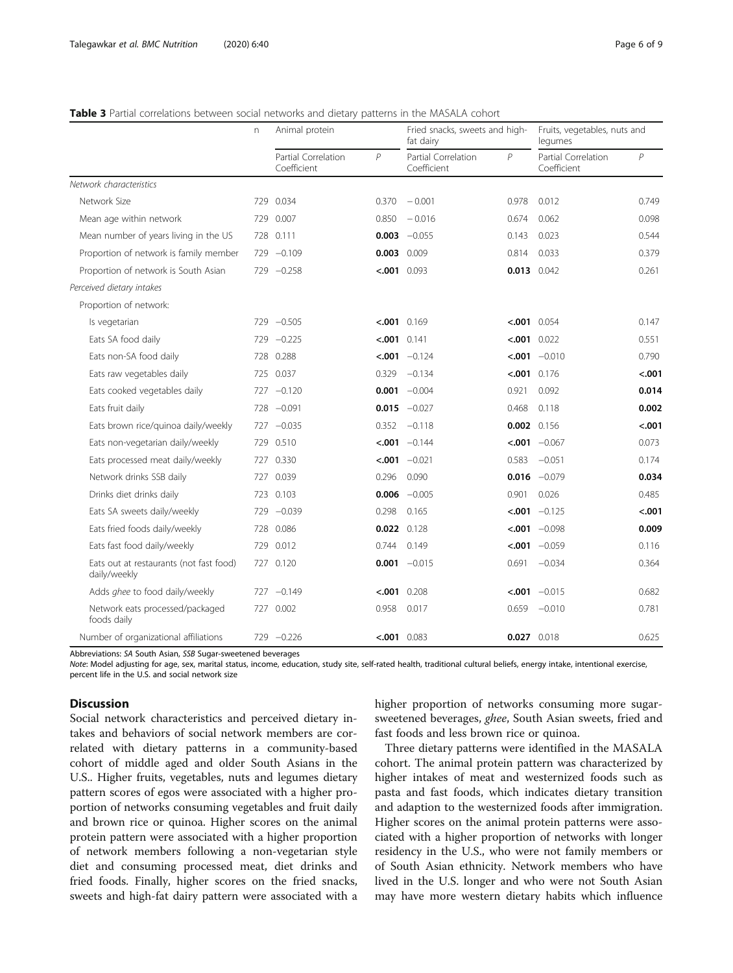<span id="page-5-0"></span>

| Table 3 Partial correlations between social networks and dietary patterns in the MASALA cohort |  |
|------------------------------------------------------------------------------------------------|--|
|------------------------------------------------------------------------------------------------|--|

|                                                         | n | Animal protein                     |                 | Fried snacks, sweets and high-<br>fat dairy |              | Fruits, vegetables, nuts and<br>legumes |        |
|---------------------------------------------------------|---|------------------------------------|-----------------|---------------------------------------------|--------------|-----------------------------------------|--------|
|                                                         |   | Partial Correlation<br>Coefficient | $\overline{P}$  | Partial Correlation<br>Coefficient          | $\mathcal P$ | Partial Correlation<br>Coefficient      | P      |
| Network characteristics                                 |   |                                    |                 |                                             |              |                                         |        |
| Network Size                                            |   | 729 0.034                          | 0.370           | $-0.001$                                    | 0.978        | 0.012                                   | 0.749  |
| Mean age within network                                 |   | 729 0.007                          | 0.850           | $-0.016$                                    | 0.674        | 0.062                                   | 0.098  |
| Mean number of years living in the US                   |   | 728 0.111                          |                 | $0.003 -0.055$                              | 0.143        | 0.023                                   | 0.544  |
| Proportion of network is family member                  |   | 729 -0.109                         | $0.003$ 0.009   |                                             | 0.814        | 0.033                                   | 0.379  |
| Proportion of network is South Asian                    |   | 729 -0.258                         | $< 0.001$ 0.093 |                                             |              | $0.013$ 0.042                           | 0.261  |
| Perceived dietary intakes                               |   |                                    |                 |                                             |              |                                         |        |
| Proportion of network:                                  |   |                                    |                 |                                             |              |                                         |        |
| Is vegetarian                                           |   | 729 -0.505                         |                 | $< 0.01$ 0.169                              |              | $< 0.001$ 0.054                         | 0.147  |
| Eats SA food daily                                      |   | $729 -0.225$                       | $< .001$ 0.141  |                                             |              | $< 001$ 0.022                           | 0.551  |
| Eats non-SA food daily                                  |   | 728 0.288                          |                 | $\epsilon$ .001 $-0.124$                    |              | $< 0.001 - 0.010$                       | 0.790  |
| Eats raw vegetables daily                               |   | 725 0.037                          |                 | $0.329 -0.134$                              |              | $< 0.01$ 0.176                          | < .001 |
| Eats cooked vegetables daily                            |   | $727 -0.120$                       |                 | $0.001 - 0.004$                             | 0.921        | 0.092                                   | 0.014  |
| Eats fruit daily                                        |   | 728 -0.091                         |                 | $0.015 - 0.027$                             | 0.468        | 0.118                                   | 0.002  |
| Eats brown rice/guinoa daily/weekly                     |   | $727 -0.035$                       |                 | $0.352 -0.118$                              |              | $0.002$ 0.156                           | < .001 |
| Eats non-vegetarian daily/weekly                        |   | 729 0.510                          |                 | $\epsilon$ .001 $-0.144$                    |              | $< 0.001 -0.067$                        | 0.073  |
| Eats processed meat daily/weekly                        |   | 727 0.330                          |                 | $< .001 -0.021$                             | 0.583        | $-0.051$                                | 0.174  |
| Network drinks SSB daily                                |   | 727 0.039                          | 0.296           | 0.090                                       |              | $0.016 -0.079$                          | 0.034  |
| Drinks diet drinks daily                                |   | 723 0.103                          |                 | $0.006 -0.005$                              |              | 0.901 0.026                             | 0.485  |
| Eats SA sweets daily/weekly                             |   | 729 -0.039                         | 0.298           | 0.165                                       |              | $\epsilon$ .001 $-0.125$                | < .001 |
| Eats fried foods daily/weekly                           |   | 728 0.086                          | $0.022$ 0.128   |                                             |              | $< 0.001 - 0.098$                       | 0.009  |
| Eats fast food daily/weekly                             |   | 729 0.012                          | 0.744           | 0.149                                       |              | $< 0.001 -0.059$                        | 0.116  |
| Eats out at restaurants (not fast food)<br>daily/weekly |   | 727 0.120                          |                 | $0.001 -0.015$                              | 0.691        | $-0.034$                                | 0.364  |
| Adds ghee to food daily/weekly                          |   | 727 -0.149                         |                 | $< 001$ 0.208                               |              | $\epsilon$ .001 $-0.015$                | 0.682  |
| Network eats processed/packaged<br>foods daily          |   | 727 0.002                          | 0.958           | 0.017                                       | 0.659        | $-0.010$                                | 0.781  |
| Number of organizational affiliations                   |   | 729 -0.226                         |                 | $< 0.001$ 0.083                             |              | 0.027 0.018                             | 0.625  |

Abbreviations: SA South Asian, SSB Sugar-sweetened beverages

Note: Model adjusting for age, sex, marital status, income, education, study site, self-rated health, traditional cultural beliefs, energy intake, intentional exercise, percent life in the U.S. and social network size

# **Discussion**

Social network characteristics and perceived dietary intakes and behaviors of social network members are correlated with dietary patterns in a community-based cohort of middle aged and older South Asians in the U.S.. Higher fruits, vegetables, nuts and legumes dietary pattern scores of egos were associated with a higher proportion of networks consuming vegetables and fruit daily and brown rice or quinoa. Higher scores on the animal protein pattern were associated with a higher proportion of network members following a non-vegetarian style diet and consuming processed meat, diet drinks and fried foods. Finally, higher scores on the fried snacks, sweets and high-fat dairy pattern were associated with a higher proportion of networks consuming more sugarsweetened beverages, ghee, South Asian sweets, fried and fast foods and less brown rice or quinoa.

Three dietary patterns were identified in the MASALA cohort. The animal protein pattern was characterized by higher intakes of meat and westernized foods such as pasta and fast foods, which indicates dietary transition and adaption to the westernized foods after immigration. Higher scores on the animal protein patterns were associated with a higher proportion of networks with longer residency in the U.S., who were not family members or of South Asian ethnicity. Network members who have lived in the U.S. longer and who were not South Asian may have more western dietary habits which influence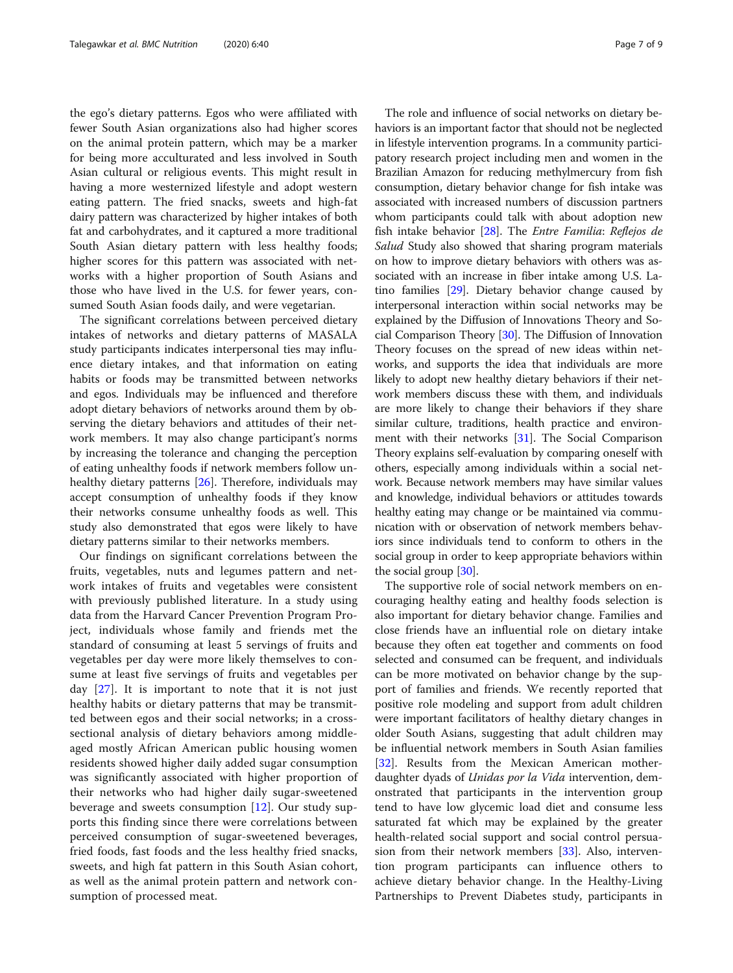the ego's dietary patterns. Egos who were affiliated with fewer South Asian organizations also had higher scores on the animal protein pattern, which may be a marker for being more acculturated and less involved in South Asian cultural or religious events. This might result in having a more westernized lifestyle and adopt western eating pattern. The fried snacks, sweets and high-fat dairy pattern was characterized by higher intakes of both fat and carbohydrates, and it captured a more traditional South Asian dietary pattern with less healthy foods; higher scores for this pattern was associated with networks with a higher proportion of South Asians and those who have lived in the U.S. for fewer years, consumed South Asian foods daily, and were vegetarian.

The significant correlations between perceived dietary intakes of networks and dietary patterns of MASALA study participants indicates interpersonal ties may influence dietary intakes, and that information on eating habits or foods may be transmitted between networks and egos. Individuals may be influenced and therefore adopt dietary behaviors of networks around them by observing the dietary behaviors and attitudes of their network members. It may also change participant's norms by increasing the tolerance and changing the perception of eating unhealthy foods if network members follow un-healthy dietary patterns [\[26\]](#page-8-0). Therefore, individuals may accept consumption of unhealthy foods if they know their networks consume unhealthy foods as well. This study also demonstrated that egos were likely to have dietary patterns similar to their networks members.

Our findings on significant correlations between the fruits, vegetables, nuts and legumes pattern and network intakes of fruits and vegetables were consistent with previously published literature. In a study using data from the Harvard Cancer Prevention Program Project, individuals whose family and friends met the standard of consuming at least 5 servings of fruits and vegetables per day were more likely themselves to consume at least five servings of fruits and vegetables per day  $[27]$  $[27]$ . It is important to note that it is not just healthy habits or dietary patterns that may be transmitted between egos and their social networks; in a crosssectional analysis of dietary behaviors among middleaged mostly African American public housing women residents showed higher daily added sugar consumption was significantly associated with higher proportion of their networks who had higher daily sugar-sweetened beverage and sweets consumption [\[12](#page-8-0)]. Our study supports this finding since there were correlations between perceived consumption of sugar-sweetened beverages, fried foods, fast foods and the less healthy fried snacks, sweets, and high fat pattern in this South Asian cohort, as well as the animal protein pattern and network consumption of processed meat.

The role and influence of social networks on dietary behaviors is an important factor that should not be neglected in lifestyle intervention programs. In a community participatory research project including men and women in the Brazilian Amazon for reducing methylmercury from fish consumption, dietary behavior change for fish intake was associated with increased numbers of discussion partners whom participants could talk with about adoption new fish intake behavior  $[28]$ . The *Entre Familia: Reflejos de* Salud Study also showed that sharing program materials on how to improve dietary behaviors with others was associated with an increase in fiber intake among U.S. Latino families [\[29\]](#page-8-0). Dietary behavior change caused by interpersonal interaction within social networks may be explained by the Diffusion of Innovations Theory and Social Comparison Theory [\[30\]](#page-8-0). The Diffusion of Innovation Theory focuses on the spread of new ideas within networks, and supports the idea that individuals are more likely to adopt new healthy dietary behaviors if their network members discuss these with them, and individuals are more likely to change their behaviors if they share similar culture, traditions, health practice and environment with their networks [[31](#page-8-0)]. The Social Comparison Theory explains self-evaluation by comparing oneself with others, especially among individuals within a social network. Because network members may have similar values and knowledge, individual behaviors or attitudes towards healthy eating may change or be maintained via communication with or observation of network members behaviors since individuals tend to conform to others in the social group in order to keep appropriate behaviors within the social group [\[30\]](#page-8-0).

The supportive role of social network members on encouraging healthy eating and healthy foods selection is also important for dietary behavior change. Families and close friends have an influential role on dietary intake because they often eat together and comments on food selected and consumed can be frequent, and individuals can be more motivated on behavior change by the support of families and friends. We recently reported that positive role modeling and support from adult children were important facilitators of healthy dietary changes in older South Asians, suggesting that adult children may be influential network members in South Asian families [[32\]](#page-8-0). Results from the Mexican American motherdaughter dyads of *Unidas por la Vida* intervention, demonstrated that participants in the intervention group tend to have low glycemic load diet and consume less saturated fat which may be explained by the greater health-related social support and social control persuasion from their network members [[33\]](#page-8-0). Also, intervention program participants can influence others to achieve dietary behavior change. In the Healthy-Living Partnerships to Prevent Diabetes study, participants in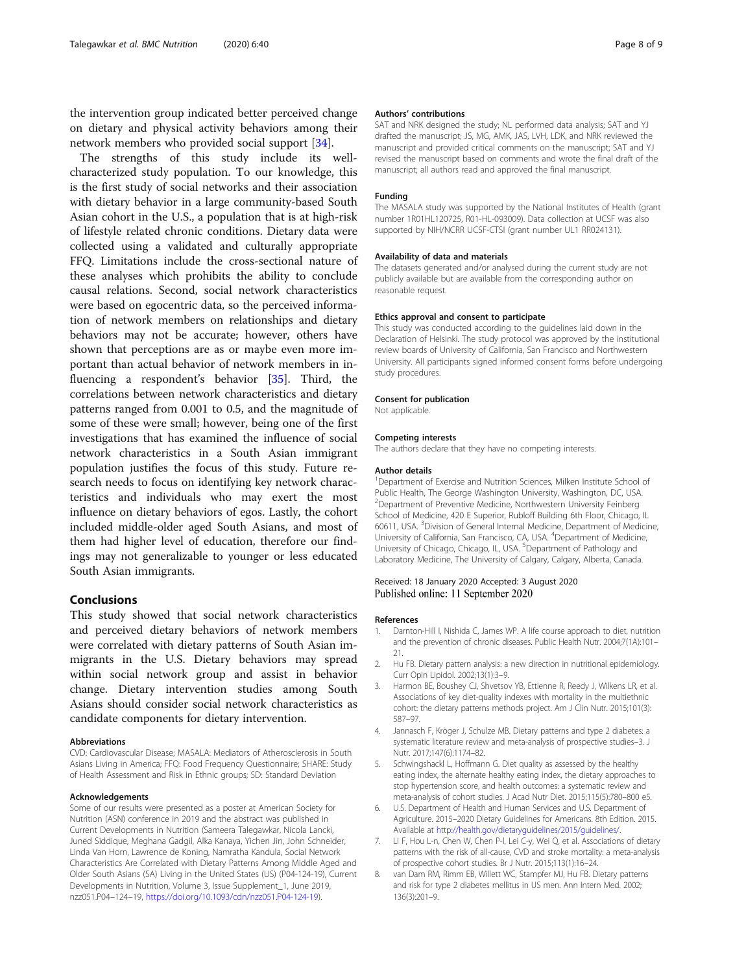<span id="page-7-0"></span>the intervention group indicated better perceived change on dietary and physical activity behaviors among their network members who provided social support [\[34](#page-8-0)].

The strengths of this study include its wellcharacterized study population. To our knowledge, this is the first study of social networks and their association with dietary behavior in a large community-based South Asian cohort in the U.S., a population that is at high-risk of lifestyle related chronic conditions. Dietary data were collected using a validated and culturally appropriate FFQ. Limitations include the cross-sectional nature of these analyses which prohibits the ability to conclude causal relations. Second, social network characteristics were based on egocentric data, so the perceived information of network members on relationships and dietary behaviors may not be accurate; however, others have shown that perceptions are as or maybe even more important than actual behavior of network members in influencing a respondent's behavior [[35\]](#page-8-0). Third, the correlations between network characteristics and dietary patterns ranged from 0.001 to 0.5, and the magnitude of some of these were small; however, being one of the first investigations that has examined the influence of social network characteristics in a South Asian immigrant population justifies the focus of this study. Future research needs to focus on identifying key network characteristics and individuals who may exert the most influence on dietary behaviors of egos. Lastly, the cohort included middle-older aged South Asians, and most of them had higher level of education, therefore our findings may not generalizable to younger or less educated South Asian immigrants.

# Conclusions

This study showed that social network characteristics and perceived dietary behaviors of network members were correlated with dietary patterns of South Asian immigrants in the U.S. Dietary behaviors may spread within social network group and assist in behavior change. Dietary intervention studies among South Asians should consider social network characteristics as candidate components for dietary intervention.

#### Abbreviations

CVD: Cardiovascular Disease; MASALA: Mediators of Atherosclerosis in South Asians Living in America; FFQ: Food Frequency Questionnaire; SHARE: Study of Health Assessment and Risk in Ethnic groups; SD: Standard Deviation

#### Acknowledgements

Some of our results were presented as a poster at American Society for Nutrition (ASN) conference in 2019 and the abstract was published in Current Developments in Nutrition (Sameera Talegawkar, Nicola Lancki, Juned Siddique, Meghana Gadgil, Alka Kanaya, Yichen Jin, John Schneider, Linda Van Horn, Lawrence de Koning, Namratha Kandula, Social Network Characteristics Are Correlated with Dietary Patterns Among Middle Aged and Older South Asians (SA) Living in the United States (US) (P04-124-19), Current Developments in Nutrition, Volume 3, Issue Supplement\_1, June 2019, nzz051.P04–124–19, [https://doi.org/10.1093/cdn/nzz051.P04-124-19\)](https://doi.org/10.1093/cdn/nzz051.P04-124-19).

#### Authors' contributions

SAT and NRK designed the study; NL performed data analysis; SAT and YJ drafted the manuscript; JS, MG, AMK, JAS, LVH, LDK, and NRK reviewed the manuscript and provided critical comments on the manuscript; SAT and YJ revised the manuscript based on comments and wrote the final draft of the manuscript; all authors read and approved the final manuscript.

#### Funding

The MASALA study was supported by the National Institutes of Health (grant number 1R01HL120725, R01-HL-093009). Data collection at UCSF was also supported by NIH/NCRR UCSF-CTSI (grant number UL1 RR024131).

#### Availability of data and materials

The datasets generated and/or analysed during the current study are not publicly available but are available from the corresponding author on reasonable request.

#### Ethics approval and consent to participate

This study was conducted according to the guidelines laid down in the Declaration of Helsinki. The study protocol was approved by the institutional review boards of University of California, San Francisco and Northwestern University. All participants signed informed consent forms before undergoing study procedures.

#### Consent for publication

Not applicable.

#### Competing interests

The authors declare that they have no competing interests.

#### Author details

<sup>1</sup>Department of Exercise and Nutrition Sciences, Milken Institute School of Public Health, The George Washington University, Washington, DC, USA. 2 Department of Preventive Medicine, Northwestern University Feinberg School of Medicine, 420 E Superior, Rubloff Building 6th Floor, Chicago, IL 60611, USA. <sup>3</sup> Division of General Internal Medicine, Department of Medicine, University of California, San Francisco, CA, USA. <sup>4</sup>Department of Medicine, University of Chicago, Chicago, IL, USA. <sup>5</sup>Department of Pathology and Laboratory Medicine, The University of Calgary, Calgary, Alberta, Canada.

## Received: 18 January 2020 Accepted: 3 August 2020 Published online: 11 September 2020

#### References

- 1. Darnton-Hill I, Nishida C, James WP. A life course approach to diet, nutrition and the prevention of chronic diseases. Public Health Nutr. 2004;7(1A):101– 21.
- 2. Hu FB. Dietary pattern analysis: a new direction in nutritional epidemiology. Curr Opin Lipidol. 2002;13(1):3–9.
- 3. Harmon BE, Boushey CJ, Shvetsov YB, Ettienne R, Reedy J, Wilkens LR, et al. Associations of key diet-quality indexes with mortality in the multiethnic cohort: the dietary patterns methods project. Am J Clin Nutr. 2015;101(3): 587–97.
- 4. Jannasch F, Kröger J, Schulze MB. Dietary patterns and type 2 diabetes: a systematic literature review and meta-analysis of prospective studies–3. J Nutr. 2017;147(6):1174–82.
- 5. Schwingshackl L, Hoffmann G. Diet quality as assessed by the healthy eating index, the alternate healthy eating index, the dietary approaches to stop hypertension score, and health outcomes: a systematic review and meta-analysis of cohort studies. J Acad Nutr Diet. 2015;115(5):780–800 e5.
- 6. U.S. Department of Health and Human Services and U.S. Department of Agriculture. 2015–2020 Dietary Guidelines for Americans. 8th Edition. 2015. Available at [http://health.gov/dietaryguidelines/2015/guidelines/.](http://www.health.gov/dietaryguidelines/2015/guidelines/)
- 7. Li F, Hou L-n, Chen W, Chen P-l, Lei C-y, Wei Q, et al. Associations of dietary patterns with the risk of all-cause, CVD and stroke mortality: a meta-analysis of prospective cohort studies. Br J Nutr. 2015;113(1):16–24.
- van Dam RM, Rimm EB, Willett WC, Stampfer MJ, Hu FB. Dietary patterns and risk for type 2 diabetes mellitus in US men. Ann Intern Med. 2002; 136(3):201–9.